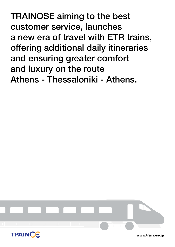TRAINOSE aiming to the best customer service, launches a new era of travel with ETR trains, offering additional daily itineraries and ensuring greater comfort and luxury on the route Athens - Thessaloniki - Athens.



**www.trainose.gr**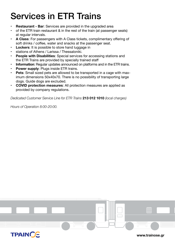# Services in ETR Trains

- **Restaurant Bar:** Services are provided in the upgraded area
- of the ETR train restaurant & in the rest of the train (at passenger seats) at regular intervals.
- **• A Class**: For passengers with A Class tickets, complimentary offering of soft drinks / coffee, water and snacks at the passenger seat.
- **Lockers:** It is possible to store hand luggage in
- stations of Athens / Larissa / Thessaloniki.
- **People with Disabilities:** Special services for accessing stations and the ETR Trains are provided by specially trained staff
- **Information**: Regular updates announced on platforms and in the ETR trains.
- **Power supply: Plugs inside ETR trains.**
- **• Pets**: Small sized pets are allowed to be transported in a cage with maximum dimensions 50x40x70. There is no possibility of transporting large dogs. Guide dogs are excluded.
- **• COVID protection measures**: All protection measures are applied as provided by company regulations.

*Dedicated Customer Service Line for ETR Trains* **213 012 1010** *(local charges)*

*Hours of Operation 8:00-20:00.*

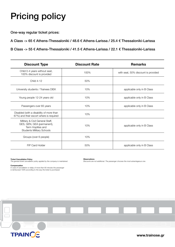# Pricing policy

One-way regular ticket prices:

A Class -> 65 € Athens-Thessaloniki / 48.6 € Athens-Larissa / 25.4 € Thessaloniki-Larissa

B Class -> 55 € Athens-Thessaloniki / 41.5 € Athens-Larissa / 22.1 € Thessaloniki-Larissa

| <b>Discount Type</b>                                                                                                   | <b>Discount Rate</b> | <b>Remarks</b>                      |  |
|------------------------------------------------------------------------------------------------------------------------|----------------------|-------------------------------------|--|
| Child 0-4 years without seat,<br>100% discount is provided                                                             | 100%                 | with seat, 50% discount is provided |  |
| <b>Child 4-12</b>                                                                                                      | 50%                  |                                     |  |
| University students / Trainees DIEK                                                                                    | 10%                  | applicable only in B Class          |  |
| Young people 12-24 years old                                                                                           | 10%                  | applicable only in B Class          |  |
| Passengers over 65 years                                                                                               | 10%                  | applicable only in B Class          |  |
| Disabled (with a disability of more than<br>67%) and their escort where is required                                    | 10%                  |                                     |  |
| Military & Civil General Staff,<br>GES, GEN, GEA (permanent),<br>Term Hoplites and<br><b>Students Military Schools</b> | 10%                  | applicable only in B Class          |  |
| Groups (over 6 people)                                                                                                 | 10%                  |                                     |  |
| FIP Card Holder                                                                                                        | 50%                  | applicable only in B Class          |  |

**Ticket Cancellation Policy** *The general ticket cancellation policy applied by the company is maintained.*

**Compensation** *In case of cancellation or delay of more than 60 minutes the passenger is reimbursed 100% according to the way the ticket is purchased.*

### **Observations**

*Discounts are not additional. The passenger chooses the most advantageous one.*